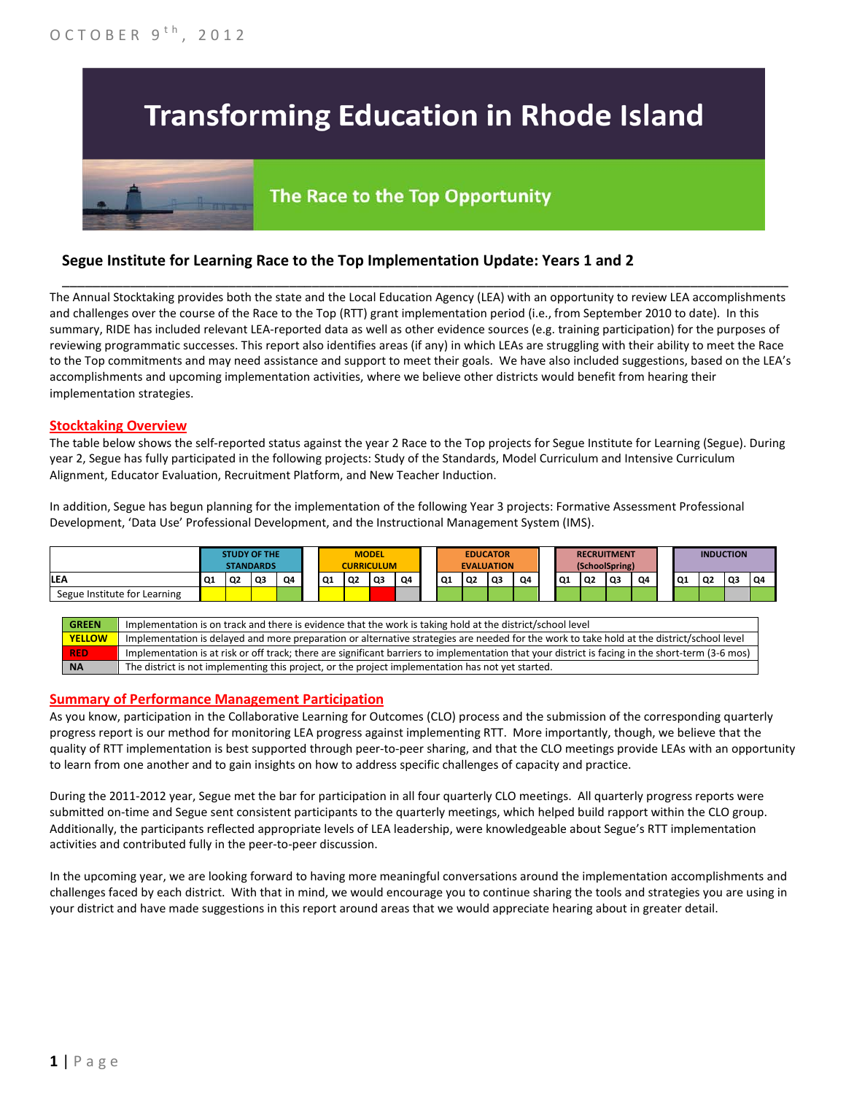# **Transforming Education in Rhode Island**

## The Race to the Top Opportunity

## **Segue Institute for Learning Race to the Top Implementation Update: Years 1 and 2**

The Annual Stocktaking provides both the state and the Local Education Agency (LEA) with an opportunity to review LEA accomplishments and challenges over the course of the Race to the Top (RTT) grant implementation period (i.e., from September 2010 to date). In this summary, RIDE has included relevant LEA-reported data as well as other evidence sources (e.g. training participation) for the purposes of reviewing programmatic successes. This report also identifies areas (if any) in which LEAs are struggling with their ability to meet the Race to the Top commitments and may need assistance and support to meet their goals. We have also included suggestions, based on the LEA's accomplishments and upcoming implementation activities, where we believe other districts would benefit from hearing their implementation strategies.

\_\_\_\_\_\_\_\_\_\_\_\_\_\_\_\_\_\_\_\_\_\_\_\_\_\_\_\_\_\_\_\_\_\_\_\_\_\_\_\_\_\_\_\_\_\_\_\_\_\_\_\_\_\_\_\_\_\_\_\_\_\_\_\_\_\_\_\_\_\_\_\_\_\_\_\_\_\_\_\_\_\_\_\_\_\_\_\_\_\_\_\_\_\_\_\_

#### **Stocktaking Overview**

The table below shows the self-reported status against the year 2 Race to the Top projects for Segue Institute for Learning (Segue). During year 2, Segue has fully participated in the following projects: Study of the Standards, Model Curriculum and Intensive Curriculum Alignment, Educator Evaluation, Recruitment Platform, and New Teacher Induction.

In addition, Segue has begun planning for the implementation of the following Year 3 projects: Formative Assessment Professional Development, 'Data Use' Professional Development, and the Instructional Management System (IMS).



#### **Summary of Performance Management Participation**

As you know, participation in the Collaborative Learning for Outcomes (CLO) process and the submission of the corresponding quarterly progress report is our method for monitoring LEA progress against implementing RTT. More importantly, though, we believe that the quality of RTT implementation is best supported through peer-to-peer sharing, and that the CLO meetings provide LEAs with an opportunity to learn from one another and to gain insights on how to address specific challenges of capacity and practice.

During the 2011-2012 year, Segue met the bar for participation in all four quarterly CLO meetings. All quarterly progress reports were submitted on-time and Segue sent consistent participants to the quarterly meetings, which helped build rapport within the CLO group. Additionally, the participants reflected appropriate levels of LEA leadership, were knowledgeable about Segue's RTT implementation activities and contributed fully in the peer-to-peer discussion.

In the upcoming year, we are looking forward to having more meaningful conversations around the implementation accomplishments and challenges faced by each district. With that in mind, we would encourage you to continue sharing the tools and strategies you are using in your district and have made suggestions in this report around areas that we would appreciate hearing about in greater detail.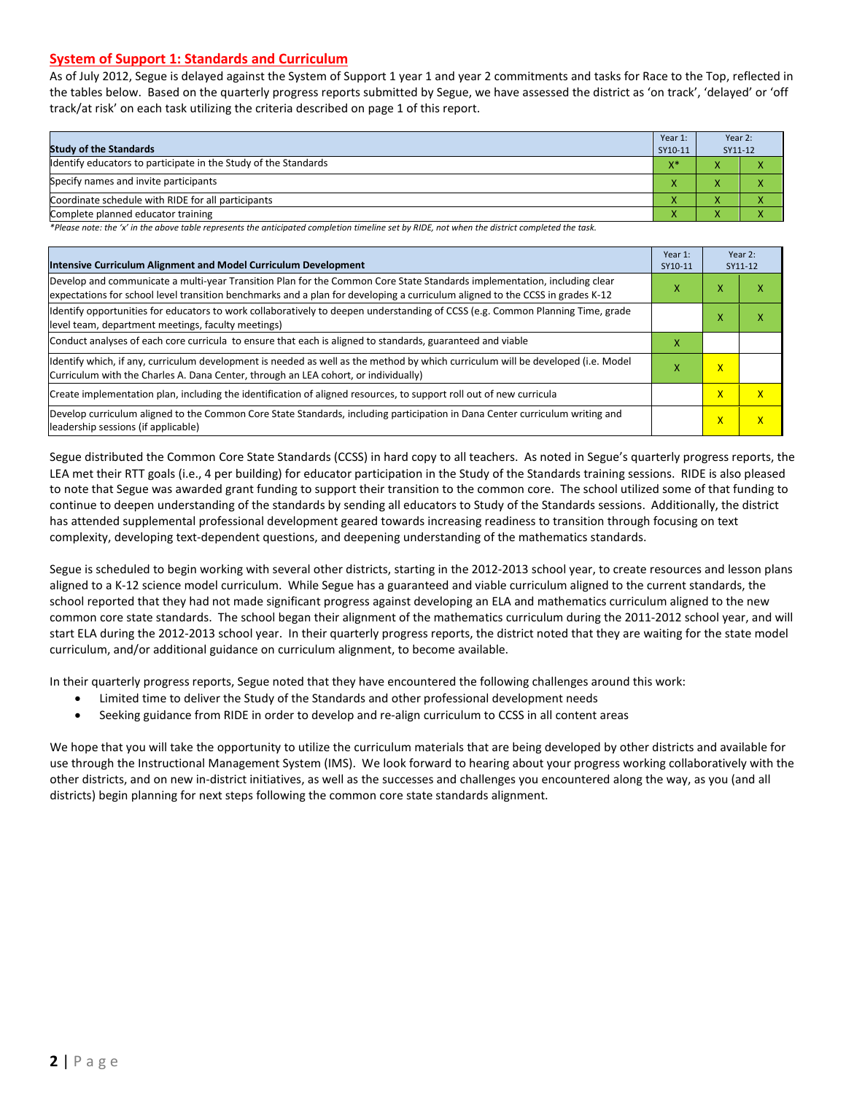#### **System of Support 1: Standards and Curriculum**

As of July 2012, Segue is delayed against the System of Support 1 year 1 and year 2 commitments and tasks for Race to the Top, reflected in the tables below. Based on the quarterly progress reports submitted by Segue, we have assessed the district as 'on track', 'delayed' or 'off track/at risk' on each task utilizing the criteria described on page 1 of this report.

| <b>Study of the Standards</b>                                   | Year 1:<br>SY10-11 | Year 2:<br>SY11-12                             |  |
|-----------------------------------------------------------------|--------------------|------------------------------------------------|--|
| Identify educators to participate in the Study of the Standards | $V^*$<br>^         |                                                |  |
| Specify names and invite participants                           | $\overline{ }$     |                                                |  |
| Coordinate schedule with RIDE for all participants              |                    |                                                |  |
| Complete planned educator training                              |                    | $\overline{\phantom{a}}$<br>$\mathbf{\Lambda}$ |  |

*\*Please note: the 'x' in the above table represents the anticipated completion timeline set by RIDE, not when the district completed the task.*

| Intensive Curriculum Alignment and Model Curriculum Development                                                                                                                                                                                           |   |                         | Year 2:<br>SY11-12 |  |
|-----------------------------------------------------------------------------------------------------------------------------------------------------------------------------------------------------------------------------------------------------------|---|-------------------------|--------------------|--|
| Develop and communicate a multi-year Transition Plan for the Common Core State Standards implementation, including clear<br>expectations for school level transition benchmarks and a plan for developing a curriculum aligned to the CCSS in grades K-12 |   |                         | χ                  |  |
| Identify opportunities for educators to work collaboratively to deepen understanding of CCSS (e.g. Common Planning Time, grade<br>level team, department meetings, faculty meetings)                                                                      |   | $\checkmark$<br>v       | x                  |  |
| Conduct analyses of each core curricula to ensure that each is aligned to standards, guaranteed and viable                                                                                                                                                | x |                         |                    |  |
| ldentify which, if any, curriculum development is needed as well as the method by which curriculum will be developed (i.e. Model<br>Curriculum with the Charles A. Dana Center, through an LEA cohort, or individually)                                   |   |                         |                    |  |
| Create implementation plan, including the identification of aligned resources, to support roll out of new curricula                                                                                                                                       |   |                         | $\mathsf{x}$       |  |
| Develop curriculum aligned to the Common Core State Standards, including participation in Dana Center curriculum writing and<br>leadership sessions (if applicable)                                                                                       |   | $\overline{\mathsf{x}}$ | X                  |  |

Segue distributed the Common Core State Standards (CCSS) in hard copy to all teachers. As noted in Segue's quarterly progress reports, the LEA met their RTT goals (i.e., 4 per building) for educator participation in the Study of the Standards training sessions. RIDE is also pleased to note that Segue was awarded grant funding to support their transition to the common core. The school utilized some of that funding to continue to deepen understanding of the standards by sending all educators to Study of the Standards sessions. Additionally, the district has attended supplemental professional development geared towards increasing readiness to transition through focusing on text complexity, developing text-dependent questions, and deepening understanding of the mathematics standards.

Segue is scheduled to begin working with several other districts, starting in the 2012-2013 school year, to create resources and lesson plans aligned to a K-12 science model curriculum. While Segue has a guaranteed and viable curriculum aligned to the current standards, the school reported that they had not made significant progress against developing an ELA and mathematics curriculum aligned to the new common core state standards. The school began their alignment of the mathematics curriculum during the 2011-2012 school year, and will start ELA during the 2012-2013 school year. In their quarterly progress reports, the district noted that they are waiting for the state model curriculum, and/or additional guidance on curriculum alignment, to become available.

In their quarterly progress reports, Segue noted that they have encountered the following challenges around this work:

- Limited time to deliver the Study of the Standards and other professional development needs
- Seeking guidance from RIDE in order to develop and re-align curriculum to CCSS in all content areas

We hope that you will take the opportunity to utilize the curriculum materials that are being developed by other districts and available for use through the Instructional Management System (IMS). We look forward to hearing about your progress working collaboratively with the other districts, and on new in-district initiatives, as well as the successes and challenges you encountered along the way, as you (and all districts) begin planning for next steps following the common core state standards alignment.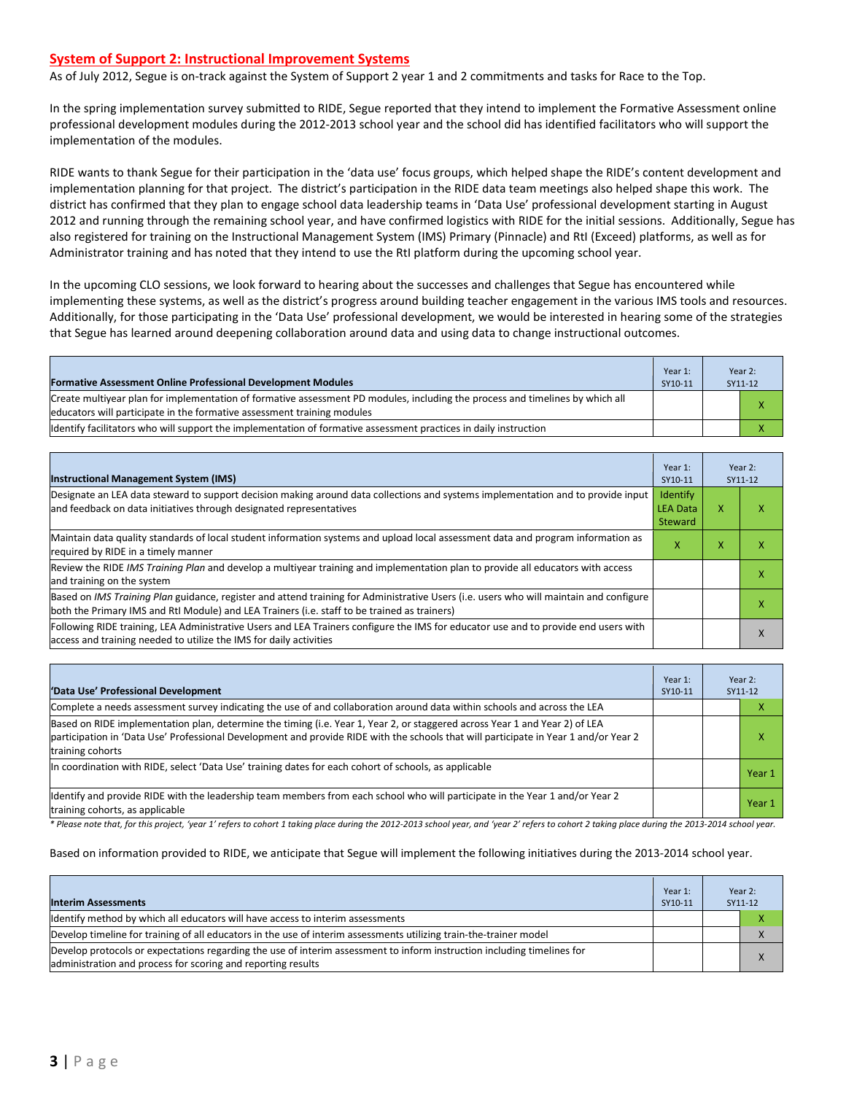#### **System of Support 2: Instructional Improvement Systems**

As of July 2012, Segue is on-track against the System of Support 2 year 1 and 2 commitments and tasks for Race to the Top.

In the spring implementation survey submitted to RIDE, Segue reported that they intend to implement the Formative Assessment online professional development modules during the 2012-2013 school year and the school did has identified facilitators who will support the implementation of the modules.

RIDE wants to thank Segue for their participation in the 'data use' focus groups, which helped shape the RIDE's content development and implementation planning for that project. The district's participation in the RIDE data team meetings also helped shape this work. The district has confirmed that they plan to engage school data leadership teams in 'Data Use' professional development starting in August 2012 and running through the remaining school year, and have confirmed logistics with RIDE for the initial sessions. Additionally, Segue has also registered for training on the Instructional Management System (IMS) Primary (Pinnacle) and RtI (Exceed) platforms, as well as for Administrator training and has noted that they intend to use the RtI platform during the upcoming school year.

In the upcoming CLO sessions, we look forward to hearing about the successes and challenges that Segue has encountered while implementing these systems, as well as the district's progress around building teacher engagement in the various IMS tools and resources. Additionally, for those participating in the 'Data Use' professional development, we would be interested in hearing some of the strategies that Segue has learned around deepening collaboration around data and using data to change instructional outcomes.

| <b>Formative Assessment Online Professional Development Modules</b>                                                                                                                                      | Year 1:<br>SY10-11 | Year 2:<br>SY11-12 |
|----------------------------------------------------------------------------------------------------------------------------------------------------------------------------------------------------------|--------------------|--------------------|
| Create multivear plan for implementation of formative assessment PD modules, including the process and timelines by which all<br>educators will participate in the formative assessment training modules |                    | $\mathbf v$        |
| Identify facilitators who will support the implementation of formative assessment practices in daily instruction                                                                                         |                    |                    |

| <b>Instructional Management System (IMS)</b>                                                                                                                                                                                           | Year 1:<br>SY10-11                     |   | Year 2:<br>SY11-12 |
|----------------------------------------------------------------------------------------------------------------------------------------------------------------------------------------------------------------------------------------|----------------------------------------|---|--------------------|
| Designate an LEA data steward to support decision making around data collections and systems implementation and to provide input<br>and feedback on data initiatives through designated representatives                                | Identify<br><b>LEA Data</b><br>Steward | x |                    |
| Maintain data quality standards of local student information systems and upload local assessment data and program information as<br>required by RIDE in a timely manner                                                                |                                        |   |                    |
| Review the RIDE IMS Training Plan and develop a multiyear training and implementation plan to provide all educators with access<br>and training on the system                                                                          |                                        |   | ⋏                  |
| Based on IMS Training Plan guidance, register and attend training for Administrative Users (i.e. users who will maintain and configure<br>both the Primary IMS and RtI Module) and LEA Trainers (i.e. staff to be trained as trainers) |                                        |   | ⋏                  |
| Following RIDE training, LEA Administrative Users and LEA Trainers configure the IMS for educator use and to provide end users with<br>access and training needed to utilize the IMS for daily activities                              |                                        |   | $\lambda$          |

| 'Data Use' Professional Development                                                                                                                                                                                                                                                     | Year 1:<br>SY10-11 |  | Year 2:<br>SY11-12 |
|-----------------------------------------------------------------------------------------------------------------------------------------------------------------------------------------------------------------------------------------------------------------------------------------|--------------------|--|--------------------|
| Complete a needs assessment survey indicating the use of and collaboration around data within schools and across the LEA                                                                                                                                                                |                    |  | ⋏                  |
| Based on RIDE implementation plan, determine the timing (i.e. Year 1, Year 2, or staggered across Year 1 and Year 2) of LEA<br>participation in 'Data Use' Professional Development and provide RIDE with the schools that will participate in Year 1 and/or Year 2<br>training cohorts |                    |  | x                  |
| In coordination with RIDE, select 'Data Use' training dates for each cohort of schools, as applicable                                                                                                                                                                                   |                    |  | Year 1             |
| Identify and provide RIDE with the leadership team members from each school who will participate in the Year 1 and/or Year 2<br>training cohorts, as applicable                                                                                                                         |                    |  | Year 1             |

*\* Please note that, for this project, 'year 1' refers to cohort 1 taking place during the 2012-2013 school year, and 'year 2' refers to cohort 2 taking place during the 2013-2014 school year.*

#### Based on information provided to RIDE, we anticipate that Segue will implement the following initiatives during the 2013-2014 school year.

| <b>Interim Assessments</b>                                                                                                                                                              | Year 1:<br>SY10-11 | Year 2:<br>SY11-12 |
|-----------------------------------------------------------------------------------------------------------------------------------------------------------------------------------------|--------------------|--------------------|
| Identify method by which all educators will have access to interim assessments                                                                                                          |                    |                    |
| Develop timeline for training of all educators in the use of interim assessments utilizing train-the-trainer model                                                                      |                    |                    |
| Develop protocols or expectations regarding the use of interim assessment to inform instruction including timelines for<br>administration and process for scoring and reporting results |                    | $\mathbf{v}$       |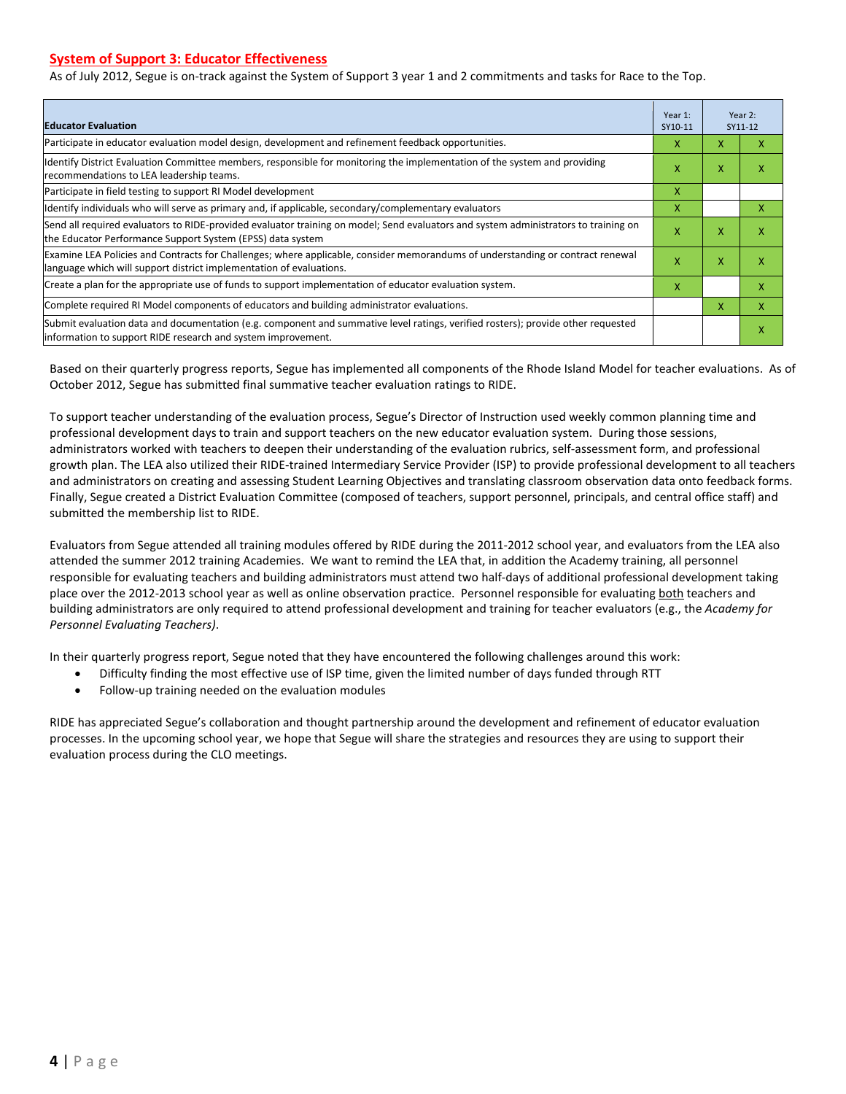#### **System of Support 3: Educator Effectiveness**

As of July 2012, Segue is on-track against the System of Support 3 year 1 and 2 commitments and tasks for Race to the Top.

| <b>Educator Evaluation</b>                                                                                                                                                                            |   |   | Year 2:<br>SY11-12 |  |
|-------------------------------------------------------------------------------------------------------------------------------------------------------------------------------------------------------|---|---|--------------------|--|
| Participate in educator evaluation model design, development and refinement feedback opportunities.                                                                                                   | x | X | x                  |  |
| Identify District Evaluation Committee members, responsible for monitoring the implementation of the system and providing<br>recommendations to LEA leadership teams.                                 | X | X | x                  |  |
| Participate in field testing to support RI Model development                                                                                                                                          | x |   |                    |  |
| Identify individuals who will serve as primary and, if applicable, secondary/complementary evaluators                                                                                                 | x |   | x                  |  |
| Send all required evaluators to RIDE-provided evaluator training on model; Send evaluators and system administrators to training on<br>the Educator Performance Support System (EPSS) data system     | X | X | x                  |  |
| Examine LEA Policies and Contracts for Challenges; where applicable, consider memorandums of understanding or contract renewal<br>language which will support district implementation of evaluations. | X | X | x                  |  |
| Create a plan for the appropriate use of funds to support implementation of educator evaluation system.                                                                                               | X |   | x                  |  |
| Complete required RI Model components of educators and building administrator evaluations.                                                                                                            |   |   | x                  |  |
| Submit evaluation data and documentation (e.g. component and summative level ratings, verified rosters); provide other requested<br>linformation to support RIDE research and system improvement.     |   |   | x                  |  |

Based on their quarterly progress reports, Segue has implemented all components of the Rhode Island Model for teacher evaluations. As of October 2012, Segue has submitted final summative teacher evaluation ratings to RIDE.

To support teacher understanding of the evaluation process, Segue's Director of Instruction used weekly common planning time and professional development days to train and support teachers on the new educator evaluation system. During those sessions, administrators worked with teachers to deepen their understanding of the evaluation rubrics, self-assessment form, and professional growth plan. The LEA also utilized their RIDE-trained Intermediary Service Provider (ISP) to provide professional development to all teachers and administrators on creating and assessing Student Learning Objectives and translating classroom observation data onto feedback forms. Finally, Segue created a District Evaluation Committee (composed of teachers, support personnel, principals, and central office staff) and submitted the membership list to RIDE.

Evaluators from Segue attended all training modules offered by RIDE during the 2011-2012 school year, and evaluators from the LEA also attended the summer 2012 training Academies. We want to remind the LEA that, in addition the Academy training, all personnel responsible for evaluating teachers and building administrators must attend two half-days of additional professional development taking place over the 2012-2013 school year as well as online observation practice. Personnel responsible for evaluating both teachers and building administrators are only required to attend professional development and training for teacher evaluators (e.g., the *Academy for Personnel Evaluating Teachers)*.

In their quarterly progress report, Segue noted that they have encountered the following challenges around this work:

- Difficulty finding the most effective use of ISP time, given the limited number of days funded through RTT
- Follow-up training needed on the evaluation modules

RIDE has appreciated Segue's collaboration and thought partnership around the development and refinement of educator evaluation processes. In the upcoming school year, we hope that Segue will share the strategies and resources they are using to support their evaluation process during the CLO meetings.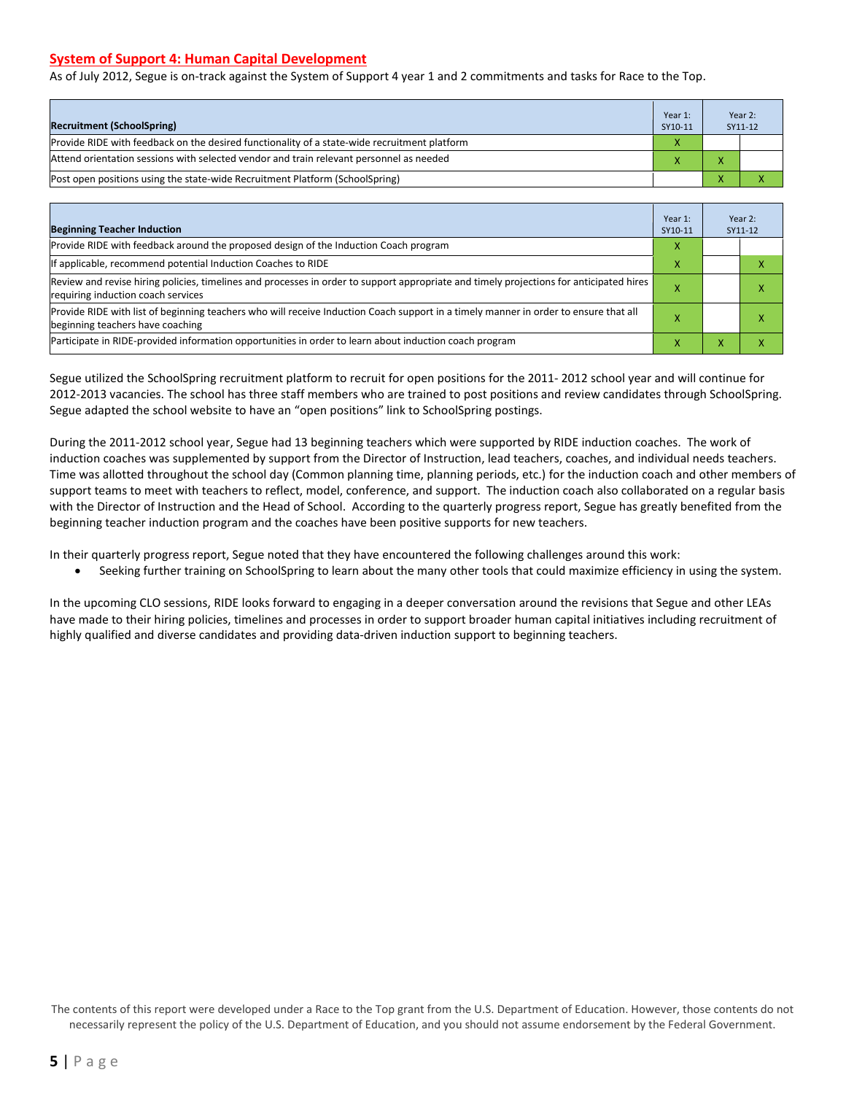#### **System of Support 4: Human Capital Development**

As of July 2012, Segue is on-track against the System of Support 4 year 1 and 2 commitments and tasks for Race to the Top.

| <b>Recruitment (SchoolSpring)</b>                                                            | Year 1:<br>SY10-11 | Year 2:<br>SY11-12 |
|----------------------------------------------------------------------------------------------|--------------------|--------------------|
| Provide RIDE with feedback on the desired functionality of a state-wide recruitment platform |                    |                    |
| Attend orientation sessions with selected vendor and train relevant personnel as needed      |                    |                    |
| (Post open positions using the state-wide Recruitment Platform (SchoolSpring)                |                    |                    |

| <b>Beginning Teacher Induction</b>                                                                                                                                            | Year 1:<br>SY10-11 |  | Year 2:<br>SY11-12 |
|-------------------------------------------------------------------------------------------------------------------------------------------------------------------------------|--------------------|--|--------------------|
| Provide RIDE with feedback around the proposed design of the Induction Coach program                                                                                          |                    |  |                    |
| If applicable, recommend potential Induction Coaches to RIDE                                                                                                                  | х                  |  |                    |
| Review and revise hiring policies, timelines and processes in order to support appropriate and timely projections for anticipated hires<br>requiring induction coach services |                    |  |                    |
| Provide RIDE with list of beginning teachers who will receive Induction Coach support in a timely manner in order to ensure that all<br>beginning teachers have coaching      |                    |  |                    |
| Participate in RIDE-provided information opportunities in order to learn about induction coach program                                                                        |                    |  |                    |

Segue utilized the SchoolSpring recruitment platform to recruit for open positions for the 2011- 2012 school year and will continue for 2012-2013 vacancies. The school has three staff members who are trained to post positions and review candidates through SchoolSpring. Segue adapted the school website to have an "open positions" link to SchoolSpring postings.

During the 2011-2012 school year, Segue had 13 beginning teachers which were supported by RIDE induction coaches. The work of induction coaches was supplemented by support from the Director of Instruction, lead teachers, coaches, and individual needs teachers. Time was allotted throughout the school day (Common planning time, planning periods, etc.) for the induction coach and other members of support teams to meet with teachers to reflect, model, conference, and support. The induction coach also collaborated on a regular basis with the Director of Instruction and the Head of School. According to the quarterly progress report, Segue has greatly benefited from the beginning teacher induction program and the coaches have been positive supports for new teachers.

In their quarterly progress report, Segue noted that they have encountered the following challenges around this work:

• Seeking further training on SchoolSpring to learn about the many other tools that could maximize efficiency in using the system.

In the upcoming CLO sessions, RIDE looks forward to engaging in a deeper conversation around the revisions that Segue and other LEAs have made to their hiring policies, timelines and processes in order to support broader human capital initiatives including recruitment of highly qualified and diverse candidates and providing data-driven induction support to beginning teachers.

The contents of this report were developed under a Race to the Top grant from the U.S. Department of Education. However, those contents do not necessarily represent the policy of the U.S. Department of Education, and you should not assume endorsement by the Federal Government.